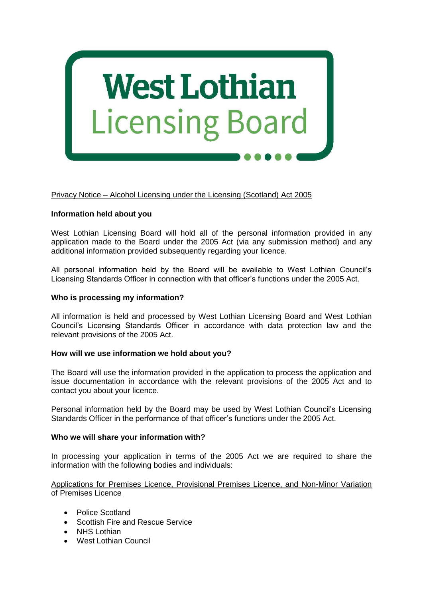

# Privacy Notice – Alcohol Licensing under the Licensing (Scotland) Act 2005

### **Information held about you**

West Lothian Licensing Board will hold all of the personal information provided in any application made to the Board under the 2005 Act (via any submission method) and any additional information provided subsequently regarding your licence.

All personal information held by the Board will be available to West Lothian Council's Licensing Standards Officer in connection with that officer's functions under the 2005 Act.

#### **Who is processing my information?**

All information is held and processed by West Lothian Licensing Board and West Lothian Council's Licensing Standards Officer in accordance with data protection law and the relevant provisions of the 2005 Act.

#### **How will we use information we hold about you?**

The Board will use the information provided in the application to process the application and issue documentation in accordance with the relevant provisions of the 2005 Act and to contact you about your licence.

Personal information held by the Board may be used by West Lothian Council's Licensing Standards Officer in the performance of that officer's functions under the 2005 Act.

#### **Who we will share your information with?**

In processing your application in terms of the 2005 Act we are required to share the information with the following bodies and individuals:

### Applications for Premises Licence, Provisional Premises Licence, and Non-Minor Variation of Premises Licence

- Police Scotland
- Scottish Fire and Rescue Service
- NHS Lothian
- West Lothian Council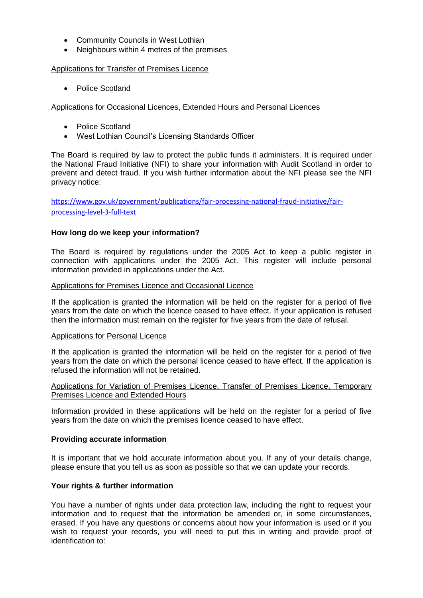- Community Councils in West Lothian
- Neighbours within 4 metres of the premises

### Applications for Transfer of Premises Licence

• Police Scotland

Applications for Occasional Licences, Extended Hours and Personal Licences

- Police Scotland
- West Lothian Council's Licensing Standards Officer

The Board is required by law to protect the public funds it administers. It is required under the National Fraud Initiative (NFI) to share your information with Audit Scotland in order to prevent and detect fraud. If you wish further information about the NFI please see the NFI privacy notice:

[https://www.gov.uk/government/publications/fair-processing-national-fraud-initiative/fair](https://www.gov.uk/government/publications/fair-processing-national-fraud-initiative/fair-processing-level-3-full-text)[processing-level-3-full-text](https://www.gov.uk/government/publications/fair-processing-national-fraud-initiative/fair-processing-level-3-full-text)

# **How long do we keep your information?**

The Board is required by regulations under the 2005 Act to keep a public register in connection with applications under the 2005 Act. This register will include personal information provided in applications under the Act.

### Applications for Premises Licence and Occasional Licence

If the application is granted the information will be held on the register for a period of five years from the date on which the licence ceased to have effect. If your application is refused then the information must remain on the register for five years from the date of refusal.

# Applications for Personal Licence

If the application is granted the information will be held on the register for a period of five years from the date on which the personal licence ceased to have effect. If the application is refused the information will not be retained.

# Applications for Variation of Premises Licence, Transfer of Premises Licence, Temporary Premises Licence and Extended Hours

Information provided in these applications will be held on the register for a period of five years from the date on which the premises licence ceased to have effect.

# **Providing accurate information**

It is important that we hold accurate information about you. If any of your details change, please ensure that you tell us as soon as possible so that we can update your records.

# **Your rights & further information**

You have a number of rights under data protection law, including the right to request your information and to request that the information be amended or, in some circumstances, erased. If you have any questions or concerns about how your information is used or if you wish to request your records, you will need to put this in writing and provide proof of identification to: